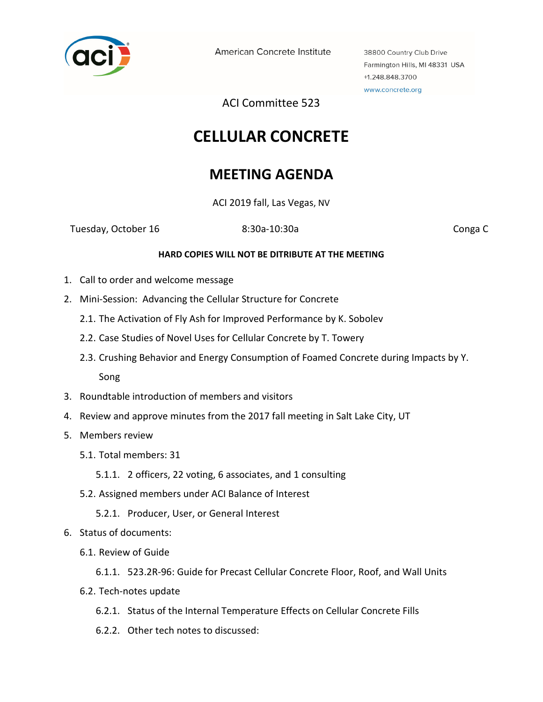

American Concrete Institute

38800 Country Club Drive Farmington Hills, MI 48331 USA +1.248.848.3700 www.concrete.org

ACI Committee 523

## **CELLULAR CONCRETE**

## **MEETING AGENDA**

ACI 2019 fall, Las Vegas, NV

Tuesday, October 16 **8:30a-10:30a** Conga C

## **HARD COPIES WILL NOT BE DITRIBUTE AT THE MEETING**

- 1. Call to order and welcome message
- 2. Mini-Session: Advancing the Cellular Structure for Concrete
	- 2.1. The Activation of Fly Ash for Improved Performance by K. Sobolev
	- 2.2. Case Studies of Novel Uses for Cellular Concrete by T. Towery
	- 2.3. Crushing Behavior and Energy Consumption of Foamed Concrete during Impacts by Y. Song
- 3. Roundtable introduction of members and visitors
- 4. Review and approve minutes from the 2017 fall meeting in Salt Lake City, UT
- 5. Members review
	- 5.1. Total members: 31
		- 5.1.1. 2 officers, 22 voting, 6 associates, and 1 consulting
	- 5.2. Assigned members under ACI Balance of Interest
		- 5.2.1. Producer, User, or General Interest
- 6. Status of documents:
	- 6.1. Review of Guide
		- 6.1.1. 523.2R-96: Guide for Precast Cellular Concrete Floor, Roof, and Wall Units
	- 6.2. Tech-notes update
		- 6.2.1. Status of the Internal Temperature Effects on Cellular Concrete Fills
		- 6.2.2. Other tech notes to discussed: